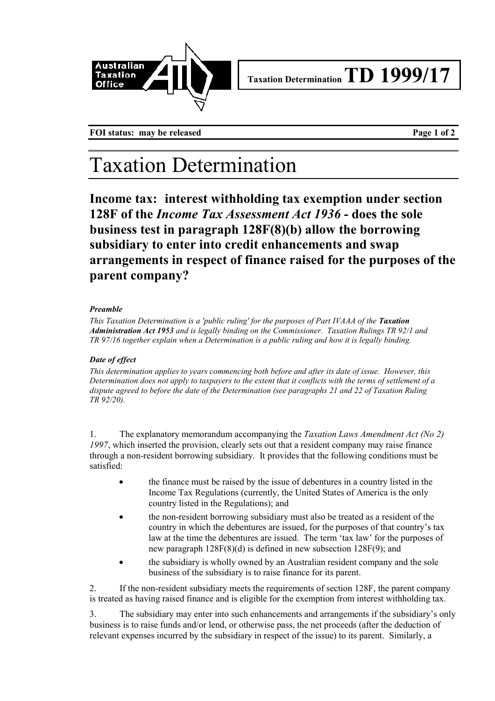

**FOI status:** may be released **Page 1 of 2** 

# Taxation Determination

**Income tax: interest withholding tax exemption under section 128F of the** *Income Tax Assessment Act 1936* **- does the sole business test in paragraph 128F(8)(b) allow the borrowing subsidiary to enter into credit enhancements and swap arrangements in respect of finance raised for the purposes of the parent company?**

### *Preamble*

*This Taxation Determination is a 'public ruling' for the purposes of Part IVAAA of the Taxation Administration Act 1953 and is legally binding on the Commissioner. Taxation Rulings TR 92/1 and TR 97/16 together explain when a Determination is a public ruling and how it is legally binding.*

### *Date of effect*

*This determination applies to years commencing both before and after its date of issue. However, this Determination does not apply to taxpayers to the extent that it conflicts with the terms of settlement of a dispute agreed to before the date of the Determination (see paragraphs 21 and 22 of Taxation Ruling TR 92/20).*

1. The explanatory memorandum accompanying the *Taxation Laws Amendment Act (No 2) 1997*, which inserted the provision, clearly sets out that a resident company may raise finance through a non-resident borrowing subsidiary. It provides that the following conditions must be satisfied:

- the finance must be raised by the issue of debentures in a country listed in the Income Tax Regulations (currently, the United States of America is the only country listed in the Regulations); and
- the non-resident borrowing subsidiary must also be treated as a resident of the country in which the debentures are issued, for the purposes of that country's tax law at the time the debentures are issued. The term 'tax law' for the purposes of new paragraph 128F(8)(d) is defined in new subsection 128F(9); and
- the subsidiary is wholly owned by an Australian resident company and the sole business of the subsidiary is to raise finance for its parent.

2. If the non-resident subsidiary meets the requirements of section 128F, the parent company is treated as having raised finance and is eligible for the exemption from interest withholding tax.

3. The subsidiary may enter into such enhancements and arrangements if the subsidiary's only business is to raise funds and/or lend, or otherwise pass, the net proceeds (after the deduction of relevant expenses incurred by the subsidiary in respect of the issue) to its parent. Similarly, a